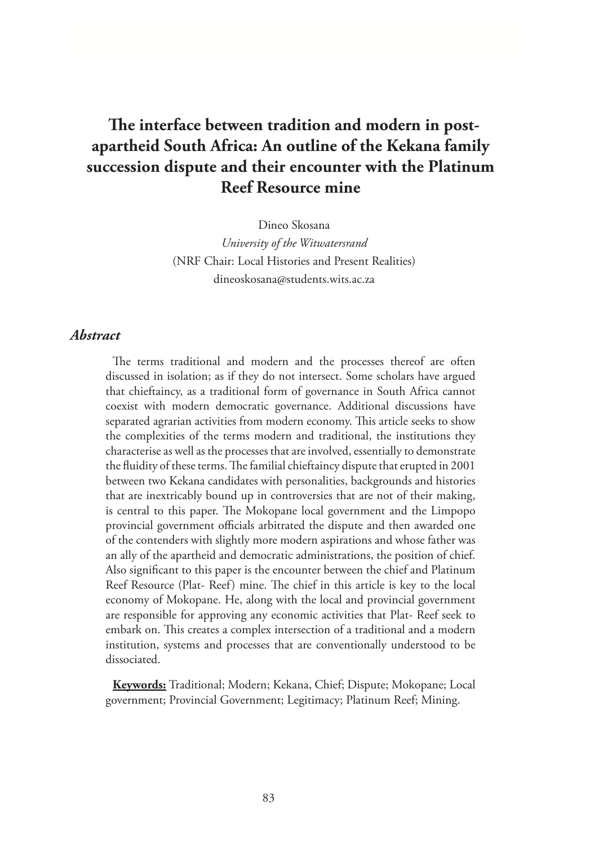# **The interface between tradition and modern in postapartheid South Africa: An outline of the Kekana family succession dispute and their encounter with the Platinum Reef Resource mine**

Dineo Skosana *University of the Witwatersrand* (NRF Chair: Local Histories and Present Realities) dineoskosana@students.wits.ac.za

#### *Abstract*

The terms traditional and modern and the processes thereof are often discussed in isolation; as if they do not intersect. Some scholars have argued that chieftaincy, as a traditional form of governance in South Africa cannot coexist with modern democratic governance. Additional discussions have separated agrarian activities from modern economy. This article seeks to show the complexities of the terms modern and traditional, the institutions they characterise as well as the processes that are involved, essentially to demonstrate the fluidity of these terms. The familial chieftaincy dispute that erupted in 2001 between two Kekana candidates with personalities, backgrounds and histories that are inextricably bound up in controversies that are not of their making, is central to this paper. The Mokopane local government and the Limpopo provincial government officials arbitrated the dispute and then awarded one of the contenders with slightly more modern aspirations and whose father was an ally of the apartheid and democratic administrations, the position of chief. Also significant to this paper is the encounter between the chief and Platinum Reef Resource (Plat- Reef) mine. The chief in this article is key to the local economy of Mokopane. He, along with the local and provincial government are responsible for approving any economic activities that Plat- Reef seek to embark on. This creates a complex intersection of a traditional and a modern institution, systems and processes that are conventionally understood to be dissociated.

**Keywords:** Traditional; Modern; Kekana, Chief; Dispute; Mokopane; Local government; Provincial Government; Legitimacy; Platinum Reef; Mining.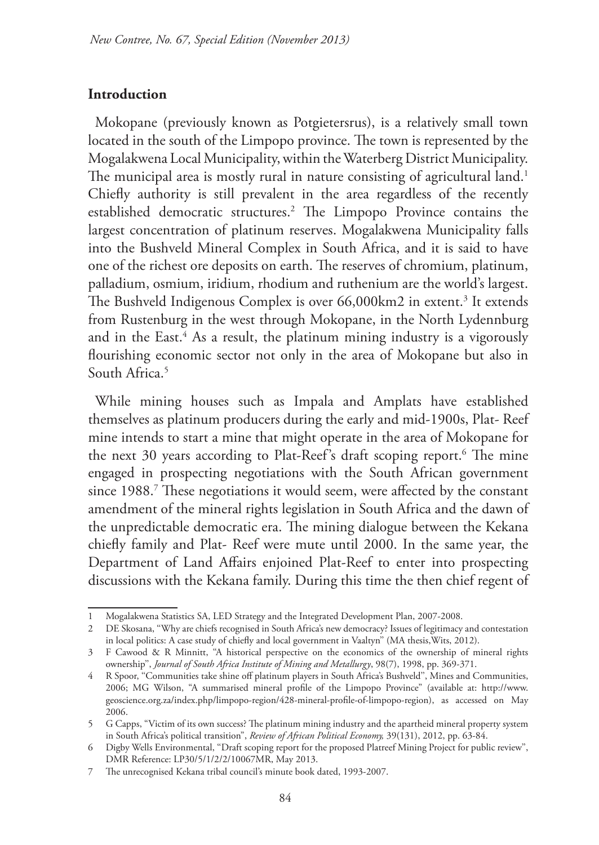#### **Introduction**

Mokopane (previously known as Potgietersrus), is a relatively small town located in the south of the Limpopo province. The town is represented by the Mogalakwena Local Municipality, within the Waterberg District Municipality. The municipal area is mostly rural in nature consisting of agricultural land.<sup>1</sup> Chiefly authority is still prevalent in the area regardless of the recently established democratic structures.2 The Limpopo Province contains the largest concentration of platinum reserves. Mogalakwena Municipality falls into the Bushveld Mineral Complex in South Africa, and it is said to have one of the richest ore deposits on earth. The reserves of chromium, platinum, palladium, osmium, iridium, rhodium and ruthenium are the world's largest. The Bushveld Indigenous Complex is over 66,000km2 in extent.<sup>3</sup> It extends from Rustenburg in the west through Mokopane, in the North Lydennburg and in the East.4 As a result, the platinum mining industry is a vigorously flourishing economic sector not only in the area of Mokopane but also in South Africa.<sup>5</sup>

While mining houses such as Impala and Amplats have established themselves as platinum producers during the early and mid-1900s, Plat- Reef mine intends to start a mine that might operate in the area of Mokopane for the next 30 years according to Plat-Reef's draft scoping report.<sup>6</sup> The mine engaged in prospecting negotiations with the South African government since 1988.7 These negotiations it would seem, were affected by the constant amendment of the mineral rights legislation in South Africa and the dawn of the unpredictable democratic era. The mining dialogue between the Kekana chiefly family and Plat- Reef were mute until 2000. In the same year, the Department of Land Affairs enjoined Plat-Reef to enter into prospecting discussions with the Kekana family. During this time the then chief regent of

<sup>1</sup> Mogalakwena Statistics SA, LED Strategy and the Integrated Development Plan, 2007-2008.

<sup>2</sup> DE Skosana, ''Why are chiefs recognised in South Africa's new democracy? Issues of legitimacy and contestation in local politics: A case study of chiefly and local government in Vaaltyn'' (MA thesis,Wits, 2012).

<sup>3</sup> F Cawood & R Minnitt, ''A historical perspective on the economics of the ownership of mineral rights ownership'', *Journal of South Africa Institute of Mining and Metallurgy*, 98(7), 1998, pp. 369-371.

<sup>4</sup> R Spoor, ''Communities take shine off platinum players in South Africa's Bushveld'', Mines and Communities, 2006; MG Wilson, "A summarised mineral profile of the Limpopo Province" (available at: http://www. geoscience.org.za/index.php/limpopo-region/428-mineral-profile-of-limpopo-region), as accessed on May 2006.

<sup>5</sup> G Capps, "Victim of its own success? The platinum mining industry and the apartheid mineral property system in South Africa's political transition", *Review of African Political Economy,* 39(131), 2012, pp. 63-84.

<sup>6</sup> Digby Wells Environmental, ''Draft scoping report for the proposed Platreef Mining Project for public review'', DMR Reference: LP30/5/1/2/2/10067MR, May 2013.

<sup>7</sup> The unrecognised Kekana tribal council's minute book dated, 1993-2007.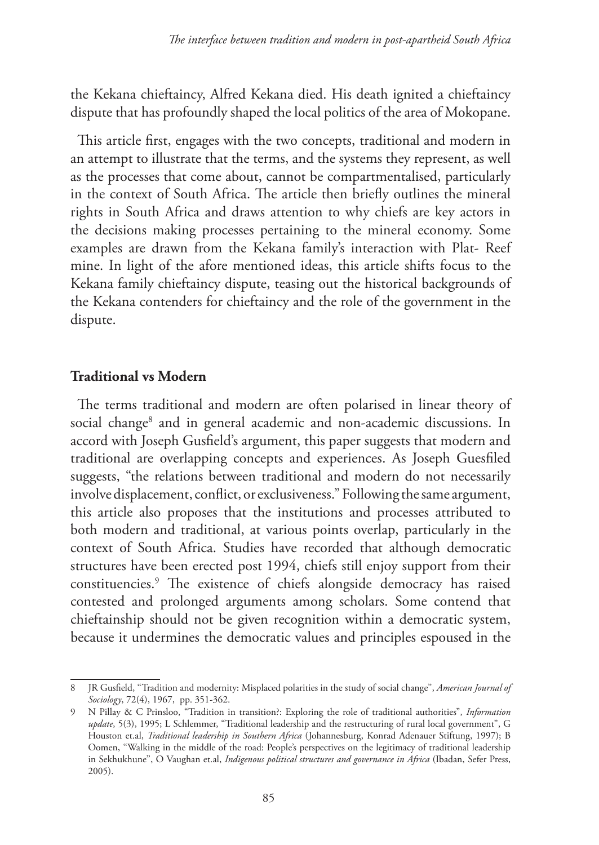the Kekana chieftaincy, Alfred Kekana died. His death ignited a chieftaincy dispute that has profoundly shaped the local politics of the area of Mokopane.

This article first, engages with the two concepts, traditional and modern in an attempt to illustrate that the terms, and the systems they represent, as well as the processes that come about, cannot be compartmentalised, particularly in the context of South Africa. The article then briefly outlines the mineral rights in South Africa and draws attention to why chiefs are key actors in the decisions making processes pertaining to the mineral economy. Some examples are drawn from the Kekana family's interaction with Plat- Reef mine. In light of the afore mentioned ideas, this article shifts focus to the Kekana family chieftaincy dispute, teasing out the historical backgrounds of the Kekana contenders for chieftaincy and the role of the government in the dispute.

#### **Traditional vs Modern**

The terms traditional and modern are often polarised in linear theory of social change<sup>8</sup> and in general academic and non-academic discussions. In accord with Joseph Gusfield's argument, this paper suggests that modern and traditional are overlapping concepts and experiences. As Joseph Guesfiled suggests, "the relations between traditional and modern do not necessarily involve displacement, conflict, or exclusiveness." Following the same argument, this article also proposes that the institutions and processes attributed to both modern and traditional, at various points overlap, particularly in the context of South Africa. Studies have recorded that although democratic structures have been erected post 1994, chiefs still enjoy support from their constituencies.9 The existence of chiefs alongside democracy has raised contested and prolonged arguments among scholars. Some contend that chieftainship should not be given recognition within a democratic system, because it undermines the democratic values and principles espoused in the

<sup>8</sup> JR Gusfield, ''Tradition and modernity: Misplaced polarities in the study of social change'', *American Journal of Sociology*, 72(4), 1967, pp. 351-362.

<sup>9</sup> N Pillay & C Prinsloo, "Tradition in transition?: Exploring the role of traditional authorities", *Information update*, 5(3), 1995; L Schlemmer, "Traditional leadership and the restructuring of rural local government", G Houston et.al, *Traditional leadership in Southern Africa* (Johannesburg, Konrad Adenauer Stiftung, 1997); B Oomen, ''Walking in the middle of the road: People's perspectives on the legitimacy of traditional leadership in Sekhukhune'', O Vaughan et.al, *Indigenous political structures and governance in Africa* (Ibadan, Sefer Press, 2005).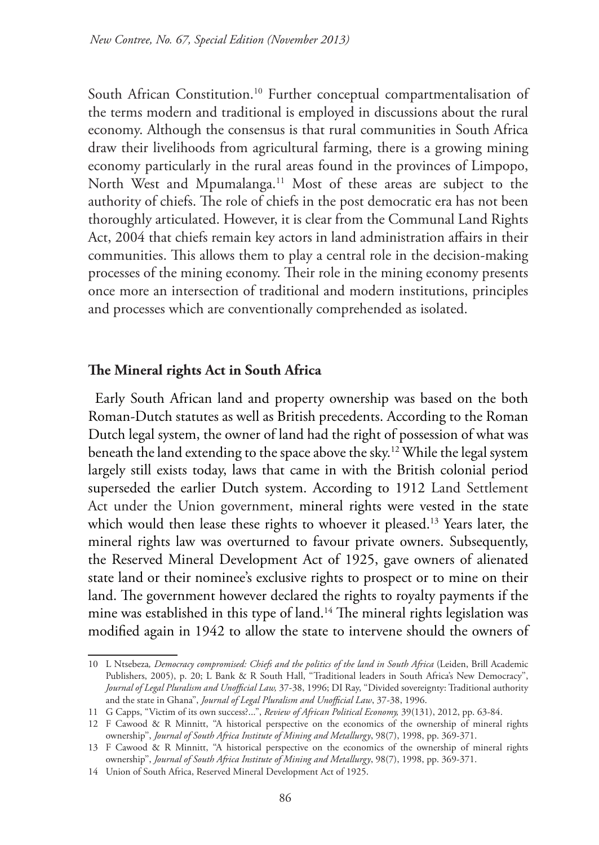South African Constitution.<sup>10</sup> Further conceptual compartmentalisation of the terms modern and traditional is employed in discussions about the rural economy. Although the consensus is that rural communities in South Africa draw their livelihoods from agricultural farming, there is a growing mining economy particularly in the rural areas found in the provinces of Limpopo, North West and Mpumalanga.<sup>11</sup> Most of these areas are subject to the authority of chiefs. The role of chiefs in the post democratic era has not been thoroughly articulated. However, it is clear from the Communal Land Rights Act, 2004 that chiefs remain key actors in land administration affairs in their communities. This allows them to play a central role in the decision-making processes of the mining economy. Their role in the mining economy presents once more an intersection of traditional and modern institutions, principles and processes which are conventionally comprehended as isolated.

#### **The Mineral rights Act in South Africa**

Early South African land and property ownership was based on the both Roman-Dutch statutes as well as British precedents. According to the Roman Dutch legal system, the owner of land had the right of possession of what was beneath the land extending to the space above the sky.12 While the legal system largely still exists today, laws that came in with the British colonial period superseded the earlier Dutch system. According to 1912 Land Settlement Act under the Union government, mineral rights were vested in the state which would then lease these rights to whoever it pleased.<sup>13</sup> Years later, the mineral rights law was overturned to favour private owners. Subsequently, the Reserved Mineral Development Act of 1925, gave owners of alienated state land or their nominee's exclusive rights to prospect or to mine on their land. The government however declared the rights to royalty payments if the mine was established in this type of land.<sup>14</sup> The mineral rights legislation was modified again in 1942 to allow the state to intervene should the owners of

<sup>10</sup> L Ntsebeza*, Democracy compromised: Chiefs and the politics of the land in South Africa* (Leiden, Brill Academic Publishers, 2005), p. 20; L Bank & R South Hall, "Traditional leaders in South Africa's New Democracy", *Journal of Legal Pluralism and Unofficial Law,* 37-38, 1996; DI Ray, ''Divided sovereignty: Traditional authority and the state in Ghana'', *Journal of Legal Pluralism and Unofficial Law*, 37-38, 1996.

<sup>11</sup> G Capps, "Victim of its own success?...", *Review of African Political Economy,* 39(131), 2012, pp. 63-84.

<sup>12</sup> F Cawood & R Minnitt, ''A historical perspective on the economics of the ownership of mineral rights ownership'', *Journal of South Africa Institute of Mining and Metallurgy*, 98(7), 1998, pp. 369-371.

<sup>13</sup> F Cawood & R Minnitt, ''A historical perspective on the economics of the ownership of mineral rights ownership'', *Journal of South Africa Institute of Mining and Metallurgy*, 98(7), 1998, pp. 369-371.

<sup>14</sup> Union of South Africa, Reserved Mineral Development Act of 1925.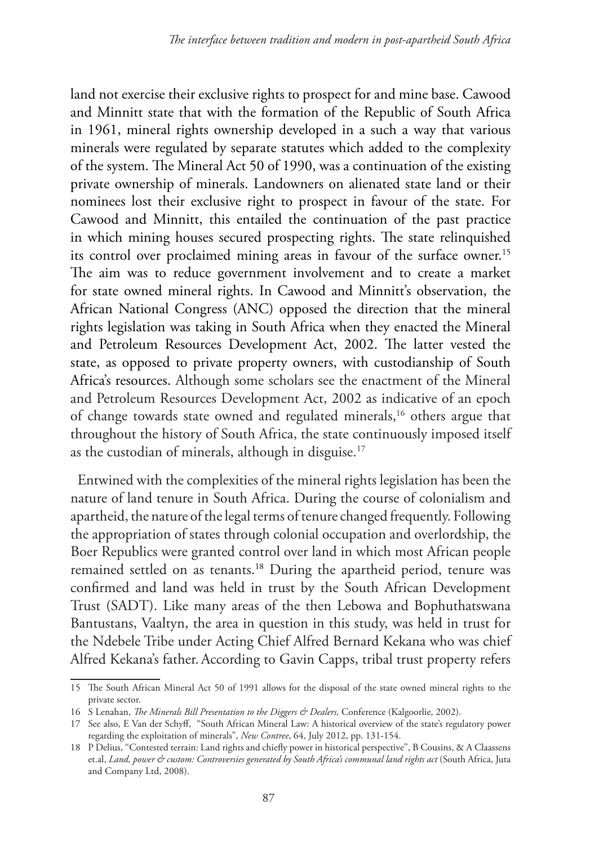land not exercise their exclusive rights to prospect for and mine base. Cawood and Minnitt state that with the formation of the Republic of South Africa in 1961, mineral rights ownership developed in a such a way that various minerals were regulated by separate statutes which added to the complexity of the system. The Mineral Act 50 of 1990, was a continuation of the existing private ownership of minerals. Landowners on alienated state land or their nominees lost their exclusive right to prospect in favour of the state. For Cawood and Minnitt, this entailed the continuation of the past practice in which mining houses secured prospecting rights. The state relinquished its control over proclaimed mining areas in favour of the surface owner.<sup>15</sup> The aim was to reduce government involvement and to create a market for state owned mineral rights. In Cawood and Minnitt's observation, the African National Congress (ANC) opposed the direction that the mineral rights legislation was taking in South Africa when they enacted the Mineral and Petroleum Resources Development Act, 2002. The latter vested the state, as opposed to private property owners, with custodianship of South Africa's resources. Although some scholars see the enactment of the Mineral and Petroleum Resources Development Act, 2002 as indicative of an epoch of change towards state owned and regulated minerals,<sup>16</sup> others argue that throughout the history of South Africa, the state continuously imposed itself as the custodian of minerals, although in disguise.<sup>17</sup>

Entwined with the complexities of the mineral rights legislation has been the nature of land tenure in South Africa. During the course of colonialism and apartheid, the nature of the legal terms of tenure changed frequently. Following the appropriation of states through colonial occupation and overlordship, the Boer Republics were granted control over land in which most African people remained settled on as tenants.<sup>18</sup> During the apartheid period, tenure was confirmed and land was held in trust by the South African Development Trust (SADT). Like many areas of the then Lebowa and Bophuthatswana Bantustans, Vaaltyn, the area in question in this study, was held in trust for the Ndebele Tribe under Acting Chief Alfred Bernard Kekana who was chief Alfred Kekana's father. According to Gavin Capps, tribal trust property refers

<sup>15</sup> The South African Mineral Act 50 of 1991 allows for the disposal of the state owned mineral rights to the private sector.

<sup>16</sup> S Lenahan, *The Minerals Bill Presentation to the Diggers & Dealers,* Conference (Kalgoorlie, 2002).

<sup>17</sup> See also, E Van der Schyff, "South African Mineral Law: A historical overview of the state's regulatory power regarding the exploitation of minerals", *New Contree*, 64, July 2012, pp. 131-154.

<sup>18</sup> P Delius, ''Contested terrain: Land rights and chiefly power in historical perspective'', B Cousins, & A Claassens et.al, *Land, power & custom: Controversies generated by South Africa's communal land rights act* (South Africa, Juta and Company Ltd, 2008).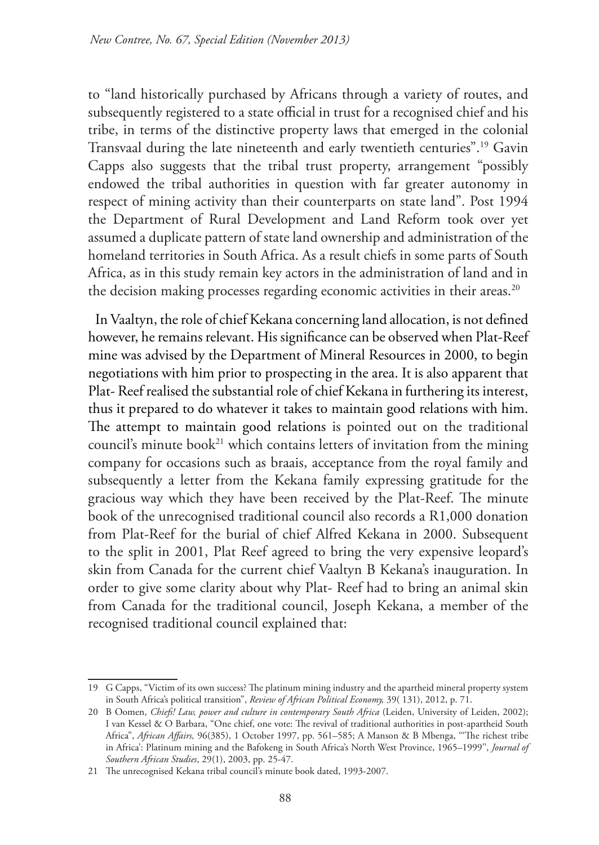to "land historically purchased by Africans through a variety of routes, and subsequently registered to a state official in trust for a recognised chief and his tribe, in terms of the distinctive property laws that emerged in the colonial Transvaal during the late nineteenth and early twentieth centuries".19 Gavin Capps also suggests that the tribal trust property, arrangement "possibly endowed the tribal authorities in question with far greater autonomy in respect of mining activity than their counterparts on state land". Post 1994 the Department of Rural Development and Land Reform took over yet assumed a duplicate pattern of state land ownership and administration of the homeland territories in South Africa. As a result chiefs in some parts of South Africa, as in this study remain key actors in the administration of land and in the decision making processes regarding economic activities in their areas.<sup>20</sup>

In Vaaltyn, the role of chief Kekana concerning land allocation, is not defined however, he remains relevant. His significance can be observed when Plat-Reef mine was advised by the Department of Mineral Resources in 2000, to begin negotiations with him prior to prospecting in the area. It is also apparent that Plat- Reef realised the substantial role of chief Kekana in furthering its interest, thus it prepared to do whatever it takes to maintain good relations with him. The attempt to maintain good relations is pointed out on the traditional council's minute book<sup>21</sup> which contains letters of invitation from the mining company for occasions such as braais, acceptance from the royal family and subsequently a letter from the Kekana family expressing gratitude for the gracious way which they have been received by the Plat-Reef. The minute book of the unrecognised traditional council also records a R1,000 donation from Plat-Reef for the burial of chief Alfred Kekana in 2000. Subsequent to the split in 2001, Plat Reef agreed to bring the very expensive leopard's skin from Canada for the current chief Vaaltyn B Kekana's inauguration. In order to give some clarity about why Plat- Reef had to bring an animal skin from Canada for the traditional council, Joseph Kekana, a member of the recognised traditional council explained that:

<sup>19</sup> G Capps, "Victim of its own success? The platinum mining industry and the apartheid mineral property system in South Africa's political transition", *Review of African Political Economy,* 39( 131), 2012, p. 71.

<sup>20</sup> B Oomen, *Chiefs! Law, power and culture in contemporary South Africa* (Leiden, University of Leiden, 2002); I van Kessel & O Barbara, "One chief, one vote: The revival of traditional authorities in post-apartheid South Africa", *African Affairs,* 96(385), 1 October 1997, pp. 561–585; A Manson & B Mbenga, '''The richest tribe in Africa': Platinum mining and the Bafokeng in South Africa's North West Province, 1965–1999'', *Journal of Southern African Studies*, 29(1), 2003, pp. 25-47.

<sup>21</sup> The unrecognised Kekana tribal council's minute book dated, 1993-2007.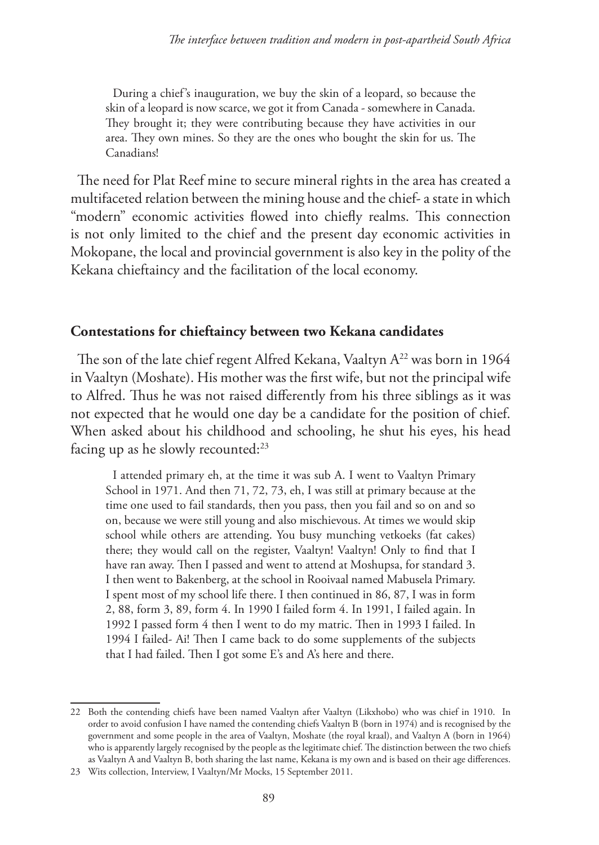During a chief's inauguration, we buy the skin of a leopard, so because the skin of a leopard is now scarce, we got it from Canada - somewhere in Canada. They brought it; they were contributing because they have activities in our area. They own mines. So they are the ones who bought the skin for us. The Canadians!

The need for Plat Reef mine to secure mineral rights in the area has created a multifaceted relation between the mining house and the chief- a state in which "modern" economic activities flowed into chiefly realms. This connection is not only limited to the chief and the present day economic activities in Mokopane, the local and provincial government is also key in the polity of the Kekana chieftaincy and the facilitation of the local economy.

#### **Contestations for chieftaincy between two Kekana candidates**

The son of the late chief regent Alfred Kekana, Vaaltyn A<sup>22</sup> was born in 1964 in Vaaltyn (Moshate). His mother was the first wife, but not the principal wife to Alfred. Thus he was not raised differently from his three siblings as it was not expected that he would one day be a candidate for the position of chief. When asked about his childhood and schooling, he shut his eyes, his head facing up as he slowly recounted:<sup>23</sup>

I attended primary eh, at the time it was sub A. I went to Vaaltyn Primary School in 1971. And then 71, 72, 73, eh, I was still at primary because at the time one used to fail standards, then you pass, then you fail and so on and so on, because we were still young and also mischievous. At times we would skip school while others are attending. You busy munching vetkoeks (fat cakes) there; they would call on the register, Vaaltyn! Vaaltyn! Only to find that I have ran away. Then I passed and went to attend at Moshupsa, for standard 3. I then went to Bakenberg, at the school in Rooivaal named Mabusela Primary. I spent most of my school life there. I then continued in 86, 87, I was in form 2, 88, form 3, 89, form 4. In 1990 I failed form 4. In 1991, I failed again. In 1992 I passed form 4 then I went to do my matric. Then in 1993 I failed. In 1994 I failed- Ai! Then I came back to do some supplements of the subjects that I had failed. Then I got some E's and A's here and there.

<sup>22</sup> Both the contending chiefs have been named Vaaltyn after Vaaltyn (Likxhobo) who was chief in 1910. In order to avoid confusion I have named the contending chiefs Vaaltyn B (born in 1974) and is recognised by the government and some people in the area of Vaaltyn, Moshate (the royal kraal), and Vaaltyn A (born in 1964) who is apparently largely recognised by the people as the legitimate chief. The distinction between the two chiefs as Vaaltyn A and Vaaltyn B, both sharing the last name, Kekana is my own and is based on their age differences.

<sup>23</sup> Wits collection, Interview, I Vaaltyn/Mr Mocks, 15 September 2011.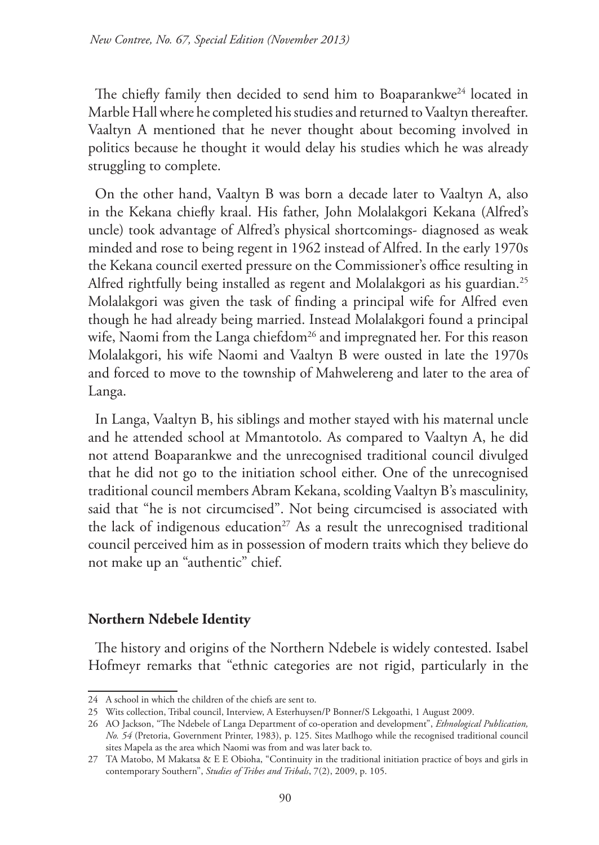The chiefly family then decided to send him to Boaparankwe<sup>24</sup> located in Marble Hall where he completed his studies and returned to Vaaltyn thereafter. Vaaltyn A mentioned that he never thought about becoming involved in politics because he thought it would delay his studies which he was already struggling to complete.

On the other hand, Vaaltyn B was born a decade later to Vaaltyn A, also in the Kekana chiefly kraal. His father, John Molalakgori Kekana (Alfred's uncle) took advantage of Alfred's physical shortcomings- diagnosed as weak minded and rose to being regent in 1962 instead of Alfred. In the early 1970s the Kekana council exerted pressure on the Commissioner's office resulting in Alfred rightfully being installed as regent and Molalakgori as his guardian.25 Molalakgori was given the task of finding a principal wife for Alfred even though he had already being married. Instead Molalakgori found a principal wife, Naomi from the Langa chiefdom<sup>26</sup> and impregnated her. For this reason Molalakgori, his wife Naomi and Vaaltyn B were ousted in late the 1970s and forced to move to the township of Mahwelereng and later to the area of Langa.

In Langa, Vaaltyn B, his siblings and mother stayed with his maternal uncle and he attended school at Mmantotolo. As compared to Vaaltyn A, he did not attend Boaparankwe and the unrecognised traditional council divulged that he did not go to the initiation school either. One of the unrecognised traditional council members Abram Kekana, scolding Vaaltyn B's masculinity, said that "he is not circumcised". Not being circumcised is associated with the lack of indigenous education<sup>27</sup> As a result the unrecognised traditional council perceived him as in possession of modern traits which they believe do not make up an "authentic" chief.

### **Northern Ndebele Identity**

The history and origins of the Northern Ndebele is widely contested. Isabel Hofmeyr remarks that "ethnic categories are not rigid, particularly in the

<sup>24</sup> A school in which the children of the chiefs are sent to.

<sup>25</sup> Wits collection, Tribal council, Interview, A Esterhuysen/P Bonner/S Lekgoathi, 1 August 2009.

<sup>26</sup> AO Jackson, "The Ndebele of Langa Department of co-operation and development", *Ethnological Publication, No. 54* (Pretoria, Government Printer, 1983), p. 125. Sites Matlhogo while the recognised traditional council sites Mapela as the area which Naomi was from and was later back to.

<sup>27</sup> TA Matobo, M Makatsa & E E Obioha, "Continuity in the traditional initiation practice of boys and girls in contemporary Southern'', *Studies of Tribes and Tribals*, 7(2), 2009, p. 105.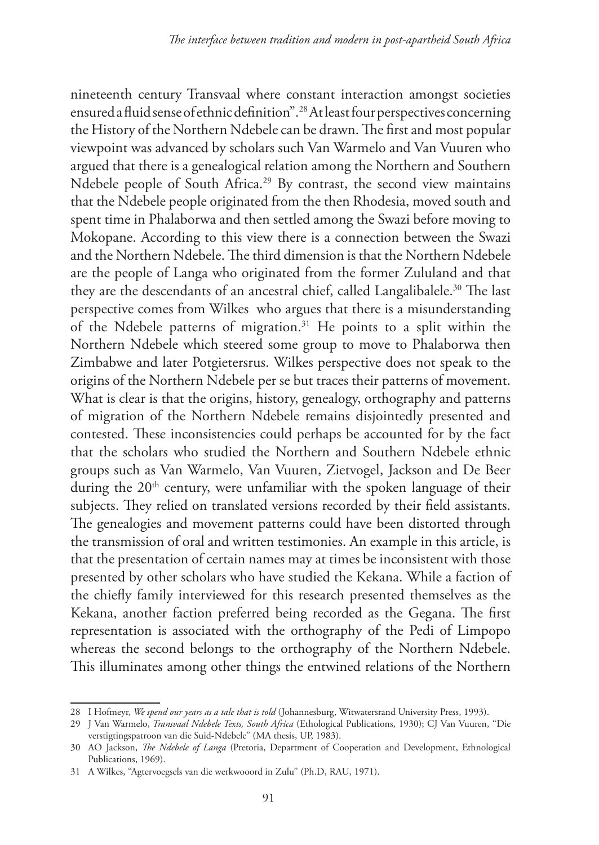nineteenth century Transvaal where constant interaction amongst societies ensured a fluid sense of ethnic definition".28 At least four perspectives concerning the History of the Northern Ndebele can be drawn. The first and most popular viewpoint was advanced by scholars such Van Warmelo and Van Vuuren who argued that there is a genealogical relation among the Northern and Southern Ndebele people of South Africa.<sup>29</sup> By contrast, the second view maintains that the Ndebele people originated from the then Rhodesia, moved south and spent time in Phalaborwa and then settled among the Swazi before moving to Mokopane. According to this view there is a connection between the Swazi and the Northern Ndebele. The third dimension is that the Northern Ndebele are the people of Langa who originated from the former Zululand and that they are the descendants of an ancestral chief, called Langalibalele.<sup>30</sup> The last perspective comes from Wilkes who argues that there is a misunderstanding of the Ndebele patterns of migration.31 He points to a split within the Northern Ndebele which steered some group to move to Phalaborwa then Zimbabwe and later Potgietersrus. Wilkes perspective does not speak to the origins of the Northern Ndebele per se but traces their patterns of movement. What is clear is that the origins, history, genealogy, orthography and patterns of migration of the Northern Ndebele remains disjointedly presented and contested. These inconsistencies could perhaps be accounted for by the fact that the scholars who studied the Northern and Southern Ndebele ethnic groups such as Van Warmelo, Van Vuuren, Zietvogel, Jackson and De Beer during the 20<sup>th</sup> century, were unfamiliar with the spoken language of their subjects. They relied on translated versions recorded by their field assistants. The genealogies and movement patterns could have been distorted through the transmission of oral and written testimonies. An example in this article, is that the presentation of certain names may at times be inconsistent with those presented by other scholars who have studied the Kekana. While a faction of the chiefly family interviewed for this research presented themselves as the Kekana, another faction preferred being recorded as the Gegana. The first representation is associated with the orthography of the Pedi of Limpopo whereas the second belongs to the orthography of the Northern Ndebele. This illuminates among other things the entwined relations of the Northern

<sup>28</sup> I Hofmeyr, *We spend our years as a tale that is told* (Johannesburg, Witwatersrand University Press, 1993).

<sup>29</sup> J Van Warmelo, *Transvaal Ndebele Texts, South Africa* (Ethological Publications, 1930); CJ Van Vuuren, ''Die verstigtingspatroon van die Suid-Ndebele" (MA thesis, UP, 1983).

<sup>30</sup> AO Jackson, *The Ndebele of Langa* (Pretoria, Department of Cooperation and Development, Ethnological Publications, 1969).

<sup>31</sup> A Wilkes, ''Agtervoegsels van die werkwooord in Zulu'' (Ph.D, RAU, 1971).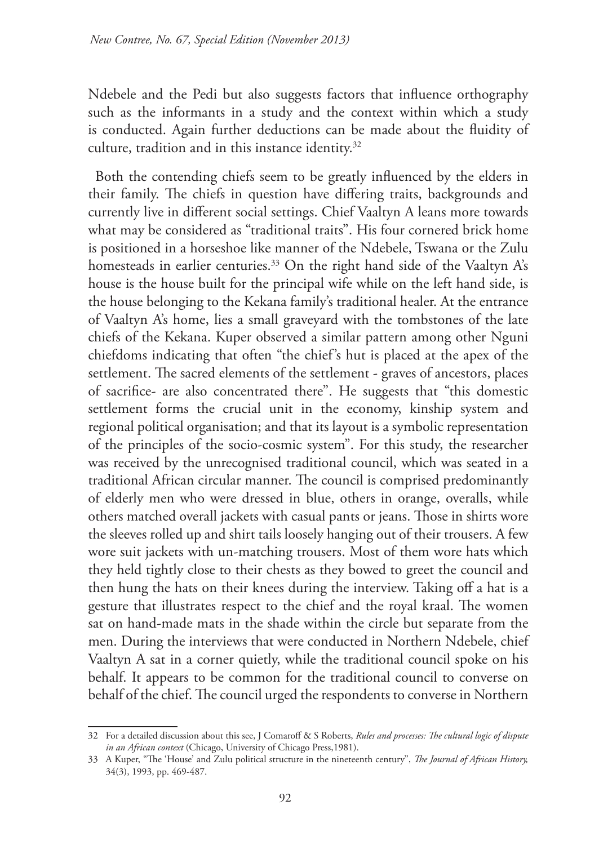Ndebele and the Pedi but also suggests factors that influence orthography such as the informants in a study and the context within which a study is conducted. Again further deductions can be made about the fluidity of culture, tradition and in this instance identity.<sup>32</sup>

Both the contending chiefs seem to be greatly influenced by the elders in their family. The chiefs in question have differing traits, backgrounds and currently live in different social settings. Chief Vaaltyn A leans more towards what may be considered as "traditional traits". His four cornered brick home is positioned in a horseshoe like manner of the Ndebele, Tswana or the Zulu homesteads in earlier centuries.<sup>33</sup> On the right hand side of the Vaaltyn A's house is the house built for the principal wife while on the left hand side, is the house belonging to the Kekana family's traditional healer. At the entrance of Vaaltyn A's home, lies a small graveyard with the tombstones of the late chiefs of the Kekana. Kuper observed a similar pattern among other Nguni chiefdoms indicating that often "the chief's hut is placed at the apex of the settlement. The sacred elements of the settlement - graves of ancestors, places of sacrifice- are also concentrated there". He suggests that "this domestic settlement forms the crucial unit in the economy, kinship system and regional political organisation; and that its layout is a symbolic representation of the principles of the socio-cosmic system". For this study, the researcher was received by the unrecognised traditional council, which was seated in a traditional African circular manner. The council is comprised predominantly of elderly men who were dressed in blue, others in orange, overalls, while others matched overall jackets with casual pants or jeans. Those in shirts wore the sleeves rolled up and shirt tails loosely hanging out of their trousers. A few wore suit jackets with un-matching trousers. Most of them wore hats which they held tightly close to their chests as they bowed to greet the council and then hung the hats on their knees during the interview. Taking off a hat is a gesture that illustrates respect to the chief and the royal kraal. The women sat on hand-made mats in the shade within the circle but separate from the men. During the interviews that were conducted in Northern Ndebele, chief Vaaltyn A sat in a corner quietly, while the traditional council spoke on his behalf. It appears to be common for the traditional council to converse on behalf of the chief. The council urged the respondents to converse in Northern

<sup>32</sup> For a detailed discussion about this see, J Comaroff & S Roberts, *Rules and processes: The cultural logic of dispute in an African context* (Chicago, University of Chicago Press,1981).

<sup>33</sup> A Kuper, "The 'House' and Zulu political structure in the nineteenth century'', *The Journal of African History,*  34(3), 1993, pp. 469-487.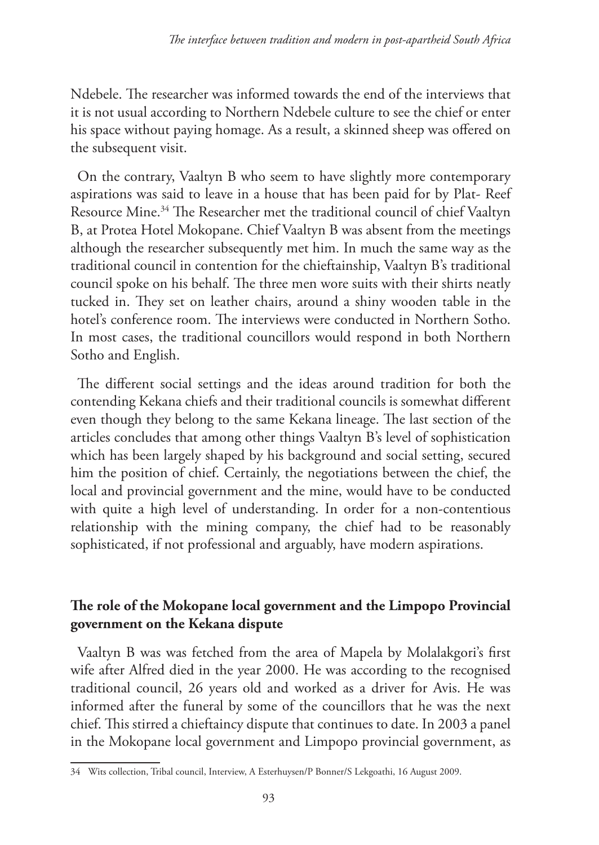Ndebele. The researcher was informed towards the end of the interviews that it is not usual according to Northern Ndebele culture to see the chief or enter his space without paying homage. As a result, a skinned sheep was offered on the subsequent visit.

On the contrary, Vaaltyn B who seem to have slightly more contemporary aspirations was said to leave in a house that has been paid for by Plat- Reef Resource Mine.34 The Researcher met the traditional council of chief Vaaltyn B, at Protea Hotel Mokopane. Chief Vaaltyn B was absent from the meetings although the researcher subsequently met him. In much the same way as the traditional council in contention for the chieftainship, Vaaltyn B's traditional council spoke on his behalf. The three men wore suits with their shirts neatly tucked in. They set on leather chairs, around a shiny wooden table in the hotel's conference room. The interviews were conducted in Northern Sotho. In most cases, the traditional councillors would respond in both Northern Sotho and English.

The different social settings and the ideas around tradition for both the contending Kekana chiefs and their traditional councils is somewhat different even though they belong to the same Kekana lineage. The last section of the articles concludes that among other things Vaaltyn B's level of sophistication which has been largely shaped by his background and social setting, secured him the position of chief. Certainly, the negotiations between the chief, the local and provincial government and the mine, would have to be conducted with quite a high level of understanding. In order for a non-contentious relationship with the mining company, the chief had to be reasonably sophisticated, if not professional and arguably, have modern aspirations.

## **The role of the Mokopane local government and the Limpopo Provincial government on the Kekana dispute**

Vaaltyn B was was fetched from the area of Mapela by Molalakgori's first wife after Alfred died in the year 2000. He was according to the recognised traditional council, 26 years old and worked as a driver for Avis. He was informed after the funeral by some of the councillors that he was the next chief. This stirred a chieftaincy dispute that continues to date. In 2003 a panel in the Mokopane local government and Limpopo provincial government, as

<sup>34</sup> Wits collection, Tribal council, Interview, A Esterhuysen/P Bonner/S Lekgoathi, 16 August 2009.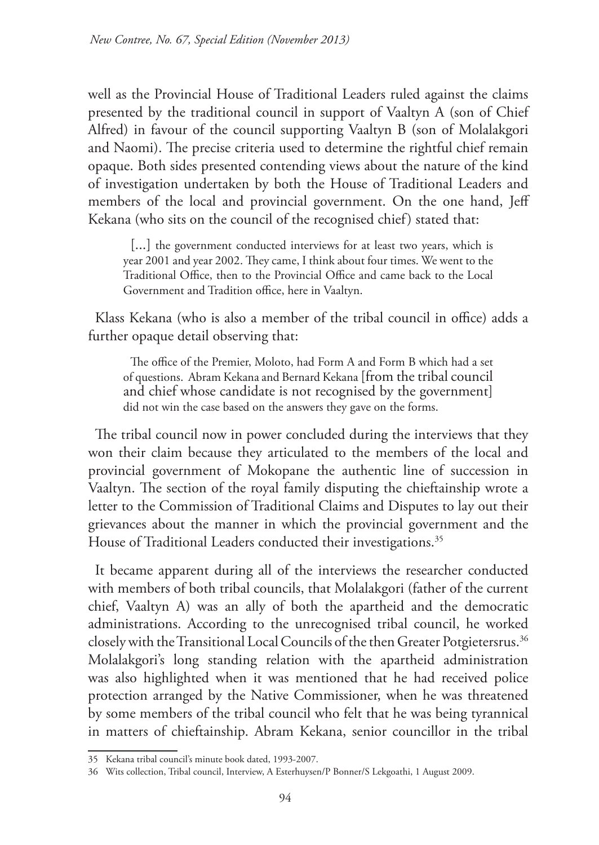well as the Provincial House of Traditional Leaders ruled against the claims presented by the traditional council in support of Vaaltyn A (son of Chief Alfred) in favour of the council supporting Vaaltyn B (son of Molalakgori and Naomi). The precise criteria used to determine the rightful chief remain opaque. Both sides presented contending views about the nature of the kind of investigation undertaken by both the House of Traditional Leaders and members of the local and provincial government. On the one hand, Jeff Kekana (who sits on the council of the recognised chief) stated that:

[...] the government conducted interviews for at least two years, which is year 2001 and year 2002. They came, I think about four times. We went to the Traditional Office, then to the Provincial Office and came back to the Local Government and Tradition office, here in Vaaltyn.

Klass Kekana (who is also a member of the tribal council in office) adds a further opaque detail observing that:

The office of the Premier, Moloto, had Form A and Form B which had a set of questions. Abram Kekana and Bernard Kekana [from the tribal council and chief whose candidate is not recognised by the government] did not win the case based on the answers they gave on the forms.

The tribal council now in power concluded during the interviews that they won their claim because they articulated to the members of the local and provincial government of Mokopane the authentic line of succession in Vaaltyn. The section of the royal family disputing the chieftainship wrote a letter to the Commission of Traditional Claims and Disputes to lay out their grievances about the manner in which the provincial government and the House of Traditional Leaders conducted their investigations.<sup>35</sup>

It became apparent during all of the interviews the researcher conducted with members of both tribal councils, that Molalakgori (father of the current chief, Vaaltyn A) was an ally of both the apartheid and the democratic administrations. According to the unrecognised tribal council, he worked closely with the Transitional Local Councils of the then Greater Potgietersrus.<sup>36</sup> Molalakgori's long standing relation with the apartheid administration was also highlighted when it was mentioned that he had received police protection arranged by the Native Commissioner, when he was threatened by some members of the tribal council who felt that he was being tyrannical in matters of chieftainship. Abram Kekana, senior councillor in the tribal

<sup>35</sup> Kekana tribal council's minute book dated, 1993-2007.

<sup>36</sup> Wits collection, Tribal council, Interview, A Esterhuysen/P Bonner/S Lekgoathi, 1 August 2009.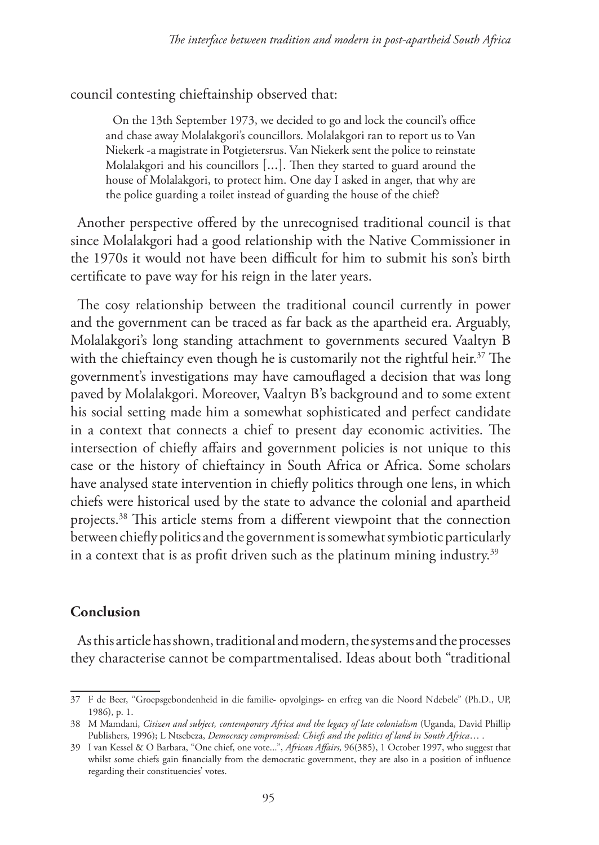council contesting chieftainship observed that:

On the 13th September 1973, we decided to go and lock the council's office and chase away Molalakgori's councillors. Molalakgori ran to report us to Van Niekerk -a magistrate in Potgietersrus. Van Niekerk sent the police to reinstate Molalakgori and his councillors [...]. Then they started to guard around the house of Molalakgori, to protect him. One day I asked in anger, that why are the police guarding a toilet instead of guarding the house of the chief?

Another perspective offered by the unrecognised traditional council is that since Molalakgori had a good relationship with the Native Commissioner in the 1970s it would not have been difficult for him to submit his son's birth certificate to pave way for his reign in the later years.

The cosy relationship between the traditional council currently in power and the government can be traced as far back as the apartheid era. Arguably, Molalakgori's long standing attachment to governments secured Vaaltyn B with the chieftaincy even though he is customarily not the rightful heir.<sup>37</sup> The government's investigations may have camouflaged a decision that was long paved by Molalakgori. Moreover, Vaaltyn B's background and to some extent his social setting made him a somewhat sophisticated and perfect candidate in a context that connects a chief to present day economic activities. The intersection of chiefly affairs and government policies is not unique to this case or the history of chieftaincy in South Africa or Africa. Some scholars have analysed state intervention in chiefly politics through one lens, in which chiefs were historical used by the state to advance the colonial and apartheid projects.38 This article stems from a different viewpoint that the connection between chiefly politics and the government is somewhat symbiotic particularly in a context that is as profit driven such as the platinum mining industry.<sup>39</sup>

#### **Conclusion**

As this article has shown, traditional and modern, the systems and the processes they characterise cannot be compartmentalised. Ideas about both "traditional

<sup>37</sup> F de Beer, ''Groepsgebondenheid in die familie- opvolgings- en erfreg van die Noord Ndebele" (Ph.D., UP, 1986), p. 1.

<sup>38</sup> M Mamdani, *Citizen and subject, contemporary Africa and the legacy of late colonialism* (Uganda, David Phillip Publishers, 1996); L Ntsebeza, *Democracy compromised: Chiefs and the politics of land in South Africa*… .

<sup>39</sup> I van Kessel & O Barbara, "One chief, one vote...", *African Affairs,* 96(385), 1 October 1997, who suggest that whilst some chiefs gain financially from the democratic government, they are also in a position of influence regarding their constituencies' votes.